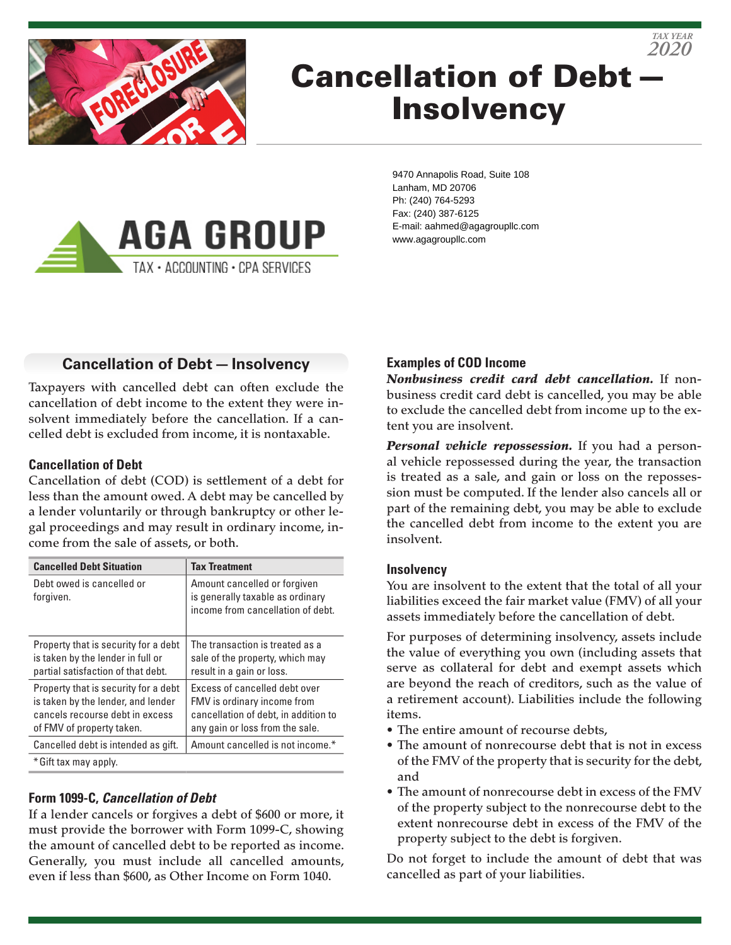

# Cancellation of Debt— **Insolvency**



9470 Annapolis Road, Suite 108 Lanham, MD 20706 Ph: (240) 764-5293 Fax: (240) 387-6125 E-mail: aahmed@agagroupllc.com www.agagroupllc.com

## **Cancellation of Debt—Insolvency**

Taxpayers with cancelled debt can often exclude the cancellation of debt income to the extent they were insolvent immediately before the cancellation. If a cancelled debt is excluded from income, it is nontaxable.

## **Cancellation of Debt**

Cancellation of debt (COD) is settlement of a debt for less than the amount owed. A debt may be cancelled by a lender voluntarily or through bankruptcy or other legal proceedings and may result in ordinary income, income from the sale of assets, or both.

| <b>Cancelled Debt Situation</b>                                                                                                            | <b>Tax Treatment</b>                                                                                                                                                                                                                                                                                                                                |  |
|--------------------------------------------------------------------------------------------------------------------------------------------|-----------------------------------------------------------------------------------------------------------------------------------------------------------------------------------------------------------------------------------------------------------------------------------------------------------------------------------------------------|--|
| Debt owed is cancelled or<br>forgiven.                                                                                                     | Amount cancelled or forgiven<br>is generally taxable as ordinary<br>income from cancellation of debt.<br>The transaction is treated as a<br>sale of the property, which may<br>result in a gain or loss.<br>Excess of cancelled debt over<br>FMV is ordinary income from<br>cancellation of debt, in addition to<br>any gain or loss from the sale. |  |
| Property that is security for a debt<br>is taken by the lender in full or<br>partial satisfaction of that debt.                            |                                                                                                                                                                                                                                                                                                                                                     |  |
| Property that is security for a debt<br>is taken by the lender, and lender<br>cancels recourse debt in excess<br>of FMV of property taken. |                                                                                                                                                                                                                                                                                                                                                     |  |
| Cancelled debt is intended as gift.                                                                                                        | Amount cancelled is not income.*                                                                                                                                                                                                                                                                                                                    |  |
| * Gift tax may apply.                                                                                                                      |                                                                                                                                                                                                                                                                                                                                                     |  |

## **Form 1099-C,** *Cancellation of Debt*

If a lender cancels or forgives a debt of \$600 or more, it must provide the borrower with Form 1099-C, showing the amount of cancelled debt to be reported as income. Generally, you must include all cancelled amounts, even if less than \$600, as Other Income on Form 1040.

## **Examples of COD Income**

*Nonbusiness credit card debt cancellation.* If nonbusiness credit card debt is cancelled, you may be able to exclude the cancelled debt from income up to the extent you are insolvent.

*2020 TAX YEAR*

*Personal vehicle repossession.* If you had a personal vehicle repossessed during the year, the transaction is treated as a sale, and gain or loss on the repossession must be computed. If the lender also cancels all or part of the remaining debt, you may be able to exclude the cancelled debt from income to the extent you are insolvent.

#### **Insolvency**

You are insolvent to the extent that the total of all your liabilities exceed the fair market value (FMV) of all your assets immediately before the cancellation of debt.

For purposes of determining insolvency, assets include the value of everything you own (including assets that serve as collateral for debt and exempt assets which are beyond the reach of creditors, such as the value of a retirement account). Liabilities include the following items.

- The entire amount of recourse debts,
- The amount of nonrecourse debt that is not in excess of the FMV of the property that is security for the debt, and
- The amount of nonrecourse debt in excess of the FMV of the property subject to the nonrecourse debt to the extent nonrecourse debt in excess of the FMV of the property subject to the debt is forgiven.

Do not forget to include the amount of debt that was cancelled as part of your liabilities.